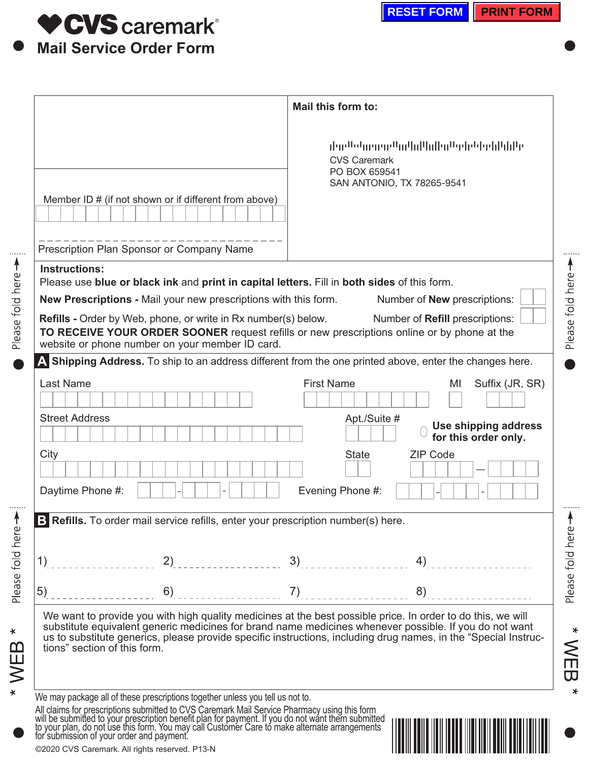

©2020 CVS Caremark. All rights reserved. P13-N

|                              |                                                                                                                   |                                                                                                                                                                | والرازا وارتوا والموالو الروالورا لرواله ووروا والرازان<br><b>CVS Caremark</b><br>PO BOX 659541<br>SAN ANTONIO, TX 78265-9541                                                                                                                                                                                                            |                 |
|------------------------------|-------------------------------------------------------------------------------------------------------------------|----------------------------------------------------------------------------------------------------------------------------------------------------------------|------------------------------------------------------------------------------------------------------------------------------------------------------------------------------------------------------------------------------------------------------------------------------------------------------------------------------------------|-----------------|
|                              | Member ID # (if not shown or if different from above)                                                             |                                                                                                                                                                |                                                                                                                                                                                                                                                                                                                                          |                 |
|                              | Prescription Plan Sponsor or Company Name                                                                         |                                                                                                                                                                |                                                                                                                                                                                                                                                                                                                                          |                 |
| <b>Instructions:</b>         |                                                                                                                   |                                                                                                                                                                |                                                                                                                                                                                                                                                                                                                                          |                 |
|                              |                                                                                                                   | Please use blue or black ink and print in capital letters. Fill in both sides of this form.<br>New Prescriptions - Mail your new prescriptions with this form. | Number of <b>New</b> prescriptions:                                                                                                                                                                                                                                                                                                      |                 |
|                              | Refills - Order by Web, phone, or write in Rx number(s) below.<br>website or phone number on your member ID card. |                                                                                                                                                                | Number of Refill prescriptions:<br>TO RECEIVE YOUR ORDER SOONER request refills or new prescriptions online or by phone at the                                                                                                                                                                                                           |                 |
|                              |                                                                                                                   |                                                                                                                                                                | A Shipping Address. To ship to an address different from the one printed above, enter the changes here.                                                                                                                                                                                                                                  |                 |
| <b>Last Name</b>             |                                                                                                                   | <b>First Name</b>                                                                                                                                              | MI                                                                                                                                                                                                                                                                                                                                       | Suffix (JR, SR) |
|                              |                                                                                                                   |                                                                                                                                                                |                                                                                                                                                                                                                                                                                                                                          |                 |
| <b>Street Address</b>        |                                                                                                                   |                                                                                                                                                                | Apt./Suite #<br>Use shipping address<br>for this order only.                                                                                                                                                                                                                                                                             |                 |
| City                         |                                                                                                                   | <b>State</b>                                                                                                                                                   | <b>ZIP Code</b><br>$\blacktriangledown$                                                                                                                                                                                                                                                                                                  |                 |
| Daytime Phone #:             |                                                                                                                   | Evening Phone #:                                                                                                                                               |                                                                                                                                                                                                                                                                                                                                          |                 |
|                              |                                                                                                                   | B Refills. To order mail service refills, enter your prescription number(s) here.                                                                              |                                                                                                                                                                                                                                                                                                                                          |                 |
|                              |                                                                                                                   |                                                                                                                                                                |                                                                                                                                                                                                                                                                                                                                          |                 |
| 1)                           | 2)<br>.                                                                                                           | 3)                                                                                                                                                             | 4)                                                                                                                                                                                                                                                                                                                                       |                 |
| 5)                           | 6)                                                                                                                | 7)                                                                                                                                                             | 8)                                                                                                                                                                                                                                                                                                                                       |                 |
| tions" section of this form. |                                                                                                                   |                                                                                                                                                                | We want to provide you with high quality medicines at the best possible price. In order to do this, we will<br>substitute equivalent generic medicines for brand name medicines whenever possible. If you do not want<br>us to substitute generics, please provide specific instructions, including drug names, in the "Special Instruc- |                 |
|                              | We may package all of these prescriptions together unless you tell us not to.                                     |                                                                                                                                                                |                                                                                                                                                                                                                                                                                                                                          |                 |

\* WEB \*

Please fold here -